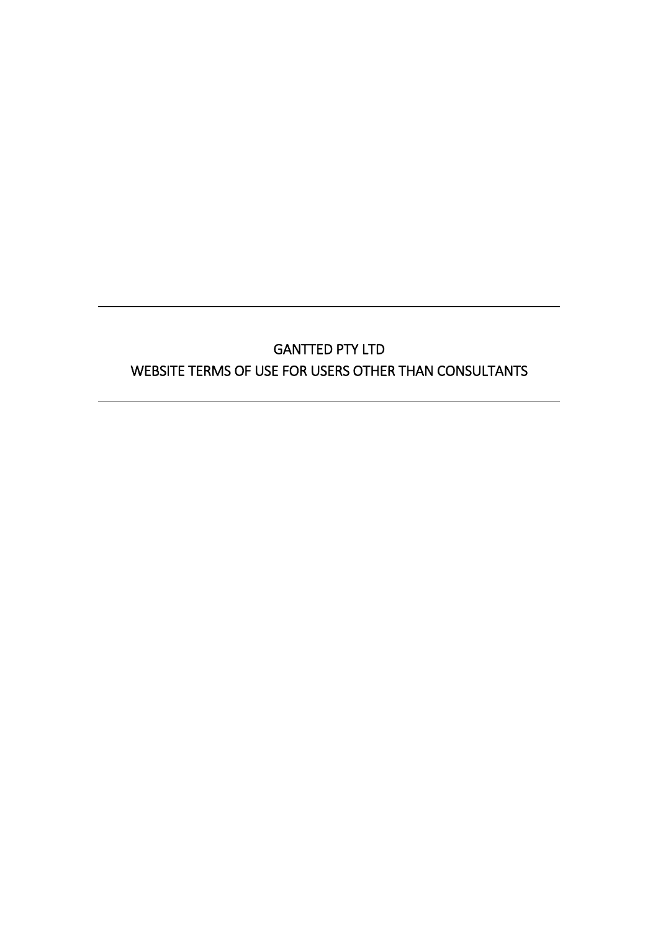# GANTTED PTY LTD WEBSITE TERMS OF USE FOR USERS OTHER THAN CONSULTANTS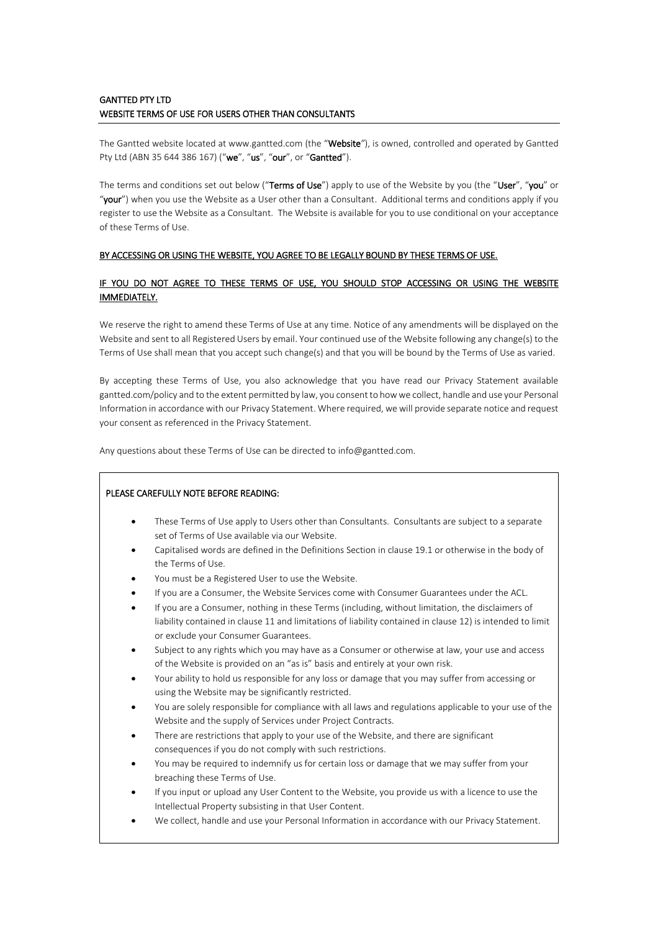## GANTTED PTY LTD WEBSITE TERMS OF USE FOR USERS OTHER THAN CONSULTANTS

The Gantted website located at www.gantted.com (the "Website*"*), is owned, controlled and operated by Gantted Pty Ltd (ABN 35 644 386 167) ("we", "us", "our", or "Gantted").

The terms and conditions set out below ("Terms of Use") apply to use of the Website by you (the "User", "you" or "your") when you use the Website as a User other than a Consultant. Additional terms and conditions apply if you register to use the Website as a Consultant. The Website is available for you to use conditional on your acceptance of these Terms of Use.

#### BY ACCESSING OR USING THE WEBSITE, YOU AGREE TO BE LEGALLY BOUND BY THESE TERMS OF USE.

## IF YOU DO NOT AGREE TO THESE TERMS OF USE, YOU SHOULD STOP ACCESSING OR USING THE WEBSITE IMMEDIATELY.

We reserve the right to amend these Terms of Use at any time. Notice of any amendments will be displayed on the Website and sent to all Registered Users by email. Your continued use of the Website following any change(s) to the Terms of Use shall mean that you accept such change(s) and that you will be bound by the Terms of Use as varied.

By accepting these Terms of Use, you also acknowledge that you have read our Privacy Statement available gantted.com/policy and to the extent permitted by law, you consent to how we collect, handle and use your Personal Information in accordance with our Privacy Statement. Where required, we will provide separate notice and request your consent as referenced in the Privacy Statement.

Any questions about these Terms of Use can be directed to info@gantted.com.

## PLEASE CAREFULLY NOTE BEFORE READING:

- These Terms of Use apply to Users other than Consultants. Consultants are subject to a separate set of Terms of Use available via our Website.
- Capitalised words are defined in the Definitions Section in clause 19.1 or otherwise in the body of the Terms of Use.
- You must be a Registered User to use the Website.
- If you are a Consumer, the Website Services come with Consumer Guarantees under the ACL.
- If you are a Consumer, nothing in these Terms (including, without limitation, the disclaimers of liability contained in clause [11](#page-8-0) and limitations of liability contained in clause [12\)](#page-9-0) is intended to limit or exclude your Consumer Guarantees.
- Subject to any rights which you may have as a Consumer or otherwise at law, your use and access of the Website is provided on an "as is" basis and entirely at your own risk.
- Your ability to hold us responsible for any loss or damage that you may suffer from accessing or using the Website may be significantly restricted.
- You are solely responsible for compliance with all laws and regulations applicable to your use of the Website and the supply of Services under Project Contracts.
- There are restrictions that apply to your use of the Website, and there are significant consequences if you do not comply with such restrictions.
- You may be required to indemnify us for certain loss or damage that we may suffer from your breaching these Terms of Use.
- If you input or upload any User Content to the Website, you provide us with a licence to use the Intellectual Property subsisting in that User Content.
- We collect, handle and use your Personal Information in accordance with our Privacy Statement.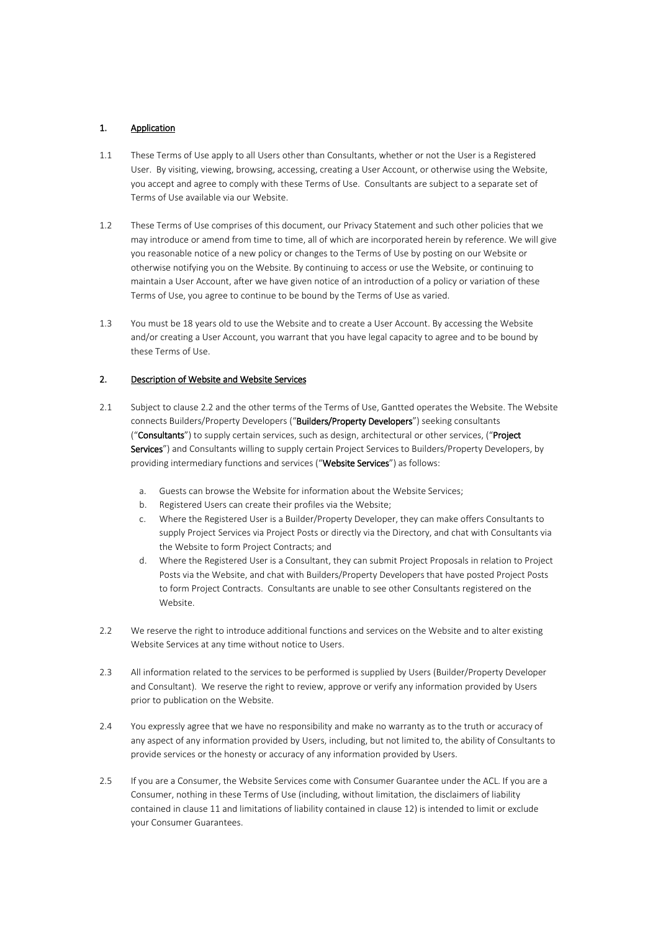## 1. Application

- 1.1 These Terms of Use apply to all Users other than Consultants, whether or not the User is a Registered User. By visiting, viewing, browsing, accessing, creating a User Account, or otherwise using the Website, you accept and agree to comply with these Terms of Use. Consultants are subject to a separate set of Terms of Use available via our Website.
- 1.2 These Terms of Use comprises of this document, our Privacy Statement and such other policies that we may introduce or amend from time to time, all of which are incorporated herein by reference. We will give you reasonable notice of a new policy or changes to the Terms of Use by posting on our Website or otherwise notifying you on the Website. By continuing to access or use the Website, or continuing to maintain a User Account, after we have given notice of an introduction of a policy or variation of these Terms of Use, you agree to continue to be bound by the Terms of Use as varied.
- 1.3 You must be 18 years old to use the Website and to create a User Account. By accessing the Website and/or creating a User Account, you warrant that you have legal capacity to agree and to be bound by these Terms of Use.

#### <span id="page-2-1"></span>2. Description of Website and Website Services

- 2.1 Subject to clause [2.2](#page-2-0) and the other terms of the Terms of Use, Gantted operates the Website. The Website connects Builders/Property Developers ("Builders/Property Developers") seeking consultants ("Consultants") to supply certain services, such as design, architectural or other services, ("Project Services") and Consultants willing to supply certain Project Services to Builders/Property Developers, by providing intermediary functions and services ("Website Services") as follows:
	- a. Guests can browse the Website for information about the Website Services;
	- b. Registered Users can create their profiles via the Website;
	- c. Where the Registered User is a Builder/Property Developer, they can make offers Consultants to supply Project Services via Project Posts or directly via the Directory, and chat with Consultants via the Website to form Project Contracts; and
	- d. Where the Registered User is a Consultant, they can submit Project Proposals in relation to Project Posts via the Website, and chat with Builders/Property Developers that have posted Project Posts to form Project Contracts. Consultants are unable to see other Consultants registered on the Website.
- <span id="page-2-0"></span>2.2 We reserve the right to introduce additional functions and services on the Website and to alter existing Website Services at any time without notice to Users.
- 2.3 All information related to the services to be performed is supplied by Users (Builder/Property Developer and Consultant). We reserve the right to review, approve or verify any information provided by Users prior to publication on the Website.
- 2.4 You expressly agree that we have no responsibility and make no warranty as to the truth or accuracy of any aspect of any information provided by Users, including, but not limited to, the ability of Consultants to provide services or the honesty or accuracy of any information provided by Users.
- 2.5 If you are a Consumer, the Website Services come with Consumer Guarantee under the ACL. If you are a Consumer, nothing in these Terms of Use (including, without limitation, the disclaimers of liability contained in clause [11](#page-8-0) and limitations of liability contained in clause [12\)](#page-9-0) is intended to limit or exclude your Consumer Guarantees.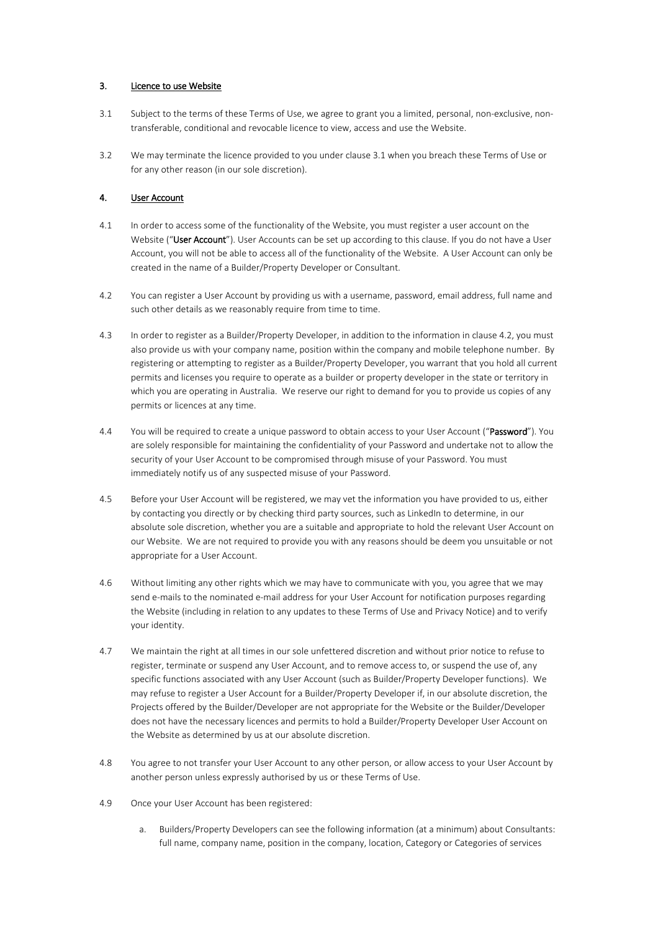#### 3. Licence to use Website

- <span id="page-3-0"></span>3.1 Subject to the terms of these Terms of Use, we agree to grant you a limited, personal, non-exclusive, nontransferable, conditional and revocable licence to view, access and use the Website.
- 3.2 We may terminate the licence provided to you under clause [3.1](#page-3-0) when you breach these Terms of Use or for any other reason (in our sole discretion).

#### 4. User Account

- <span id="page-3-2"></span>4.1 In order to access some of the functionality of the Website, you must register a user account on the Website ("User Account"). User Accounts can be set up according to this clause. If you do not have a User Account, you will not be able to access all of the functionality of the Website. A User Account can only be created in the name of a Builder/Property Developer or Consultant.
- <span id="page-3-1"></span>4.2 You can register a User Account by providing us with a username, password, email address, full name and such other details as we reasonably require from time to time.
- 4.3 In order to register as a Builder/Property Developer, in addition to the information in clause [4.2,](#page-3-1) you must also provide us with your company name, position within the company and mobile telephone number. By registering or attempting to register as a Builder/Property Developer, you warrant that you hold all current permits and licenses you require to operate as a builder or property developer in the state or territory in which you are operating in Australia. We reserve our right to demand for you to provide us copies of any permits or licences at any time.
- 4.4 You will be required to create a unique password to obtain access to your User Account ("Password"). You are solely responsible for maintaining the confidentiality of your Password and undertake not to allow the security of your User Account to be compromised through misuse of your Password. You must immediately notify us of any suspected misuse of your Password.
- 4.5 Before your User Account will be registered, we may vet the information you have provided to us, either by contacting you directly or by checking third party sources, such as LinkedIn to determine, in our absolute sole discretion, whether you are a suitable and appropriate to hold the relevant User Account on our Website. We are not required to provide you with any reasons should be deem you unsuitable or not appropriate for a User Account.
- 4.6 Without limiting any other rights which we may have to communicate with you, you agree that we may send e-mails to the nominated e-mail address for your User Account for notification purposes regarding the Website (including in relation to any updates to these Terms of Use and Privacy Notice) and to verify your identity.
- 4.7 We maintain the right at all times in our sole unfettered discretion and without prior notice to refuse to register, terminate or suspend any User Account, and to remove access to, or suspend the use of, any specific functions associated with any User Account (such as Builder/Property Developer functions). We may refuse to register a User Account for a Builder/Property Developer if, in our absolute discretion, the Projects offered by the Builder/Developer are not appropriate for the Website or the Builder/Developer does not have the necessary licences and permits to hold a Builder/Property Developer User Account on the Website as determined by us at our absolute discretion.
- 4.8 You agree to not transfer your User Account to any other person, or allow access to your User Account by another person unless expressly authorised by us or these Terms of Use.
- 4.9 Once your User Account has been registered:
	- a. Builders/Property Developers can see the following information (at a minimum) about Consultants: full name, company name, position in the company, location, Category or Categories of services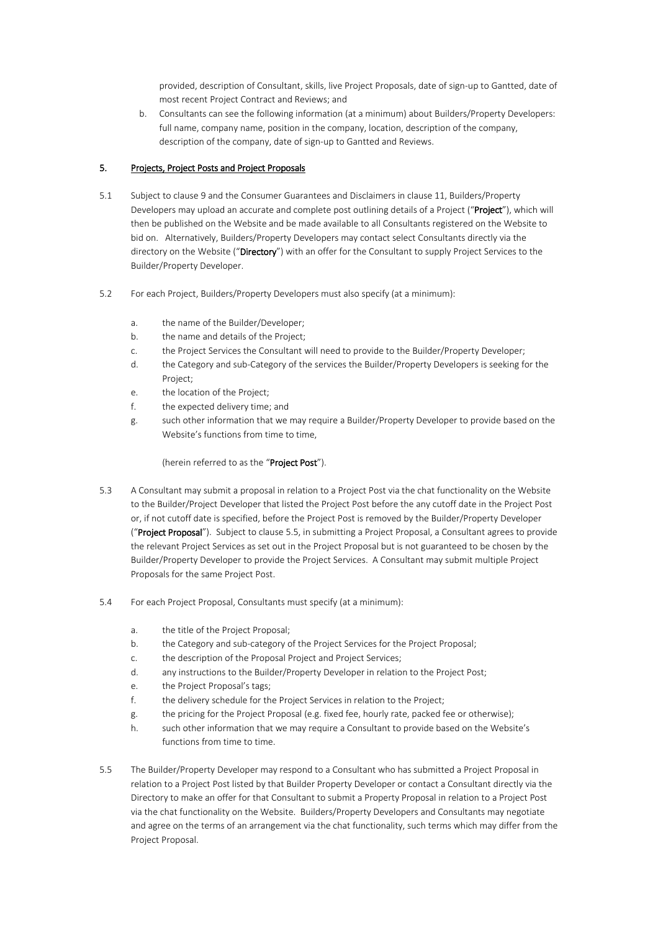provided, description of Consultant, skills, live Project Proposals, date of sign-up to Gantted, date of most recent Project Contract and Reviews; and

b. Consultants can see the following information (at a minimum) about Builders/Property Developers: full name, company name, position in the company, location, description of the company, description of the company, date of sign-up to Gantted and Reviews.

## 5. Projects, Project Posts and Project Proposals

- <span id="page-4-1"></span>5.1 Subject to clause 9 and the Consumer Guarantees and Disclaimers in clause [11,](#page-8-0) Builders/Property Developers may upload an accurate and complete post outlining details of a Project ("Project"), which will then be published on the Website and be made available to all Consultants registered on the Website to bid on. Alternatively, Builders/Property Developers may contact select Consultants directly via the directory on the Website ("Directory") with an offer for the Consultant to supply Project Services to the Builder/Property Developer.
- <span id="page-4-2"></span>5.2 For each Project, Builders/Property Developers must also specify (at a minimum):
	- a. the name of the Builder/Developer;
	- b. the name and details of the Project;
	- c. the Project Services the Consultant will need to provide to the Builder/Property Developer;
	- d. the Category and sub-Category of the services the Builder/Property Developers is seeking for the Project;
	- e. the location of the Project;
	- f. the expected delivery time; and
	- g. such other information that we may require a Builder/Property Developer to provide based on the Website's functions from time to time,

#### (herein referred to as the "Project Post").

- <span id="page-4-3"></span>5.3 A Consultant may submit a proposal in relation to a Project Post via the chat functionality on the Website to the Builder/Project Developer that listed the Project Post before the any cutoff date in the Project Post or, if not cutoff date is specified, before the Project Post is removed by the Builder/Property Developer ("Project Proposal"). Subject to clause [5.5,](#page-4-0) in submitting a Project Proposal, a Consultant agrees to provide the relevant Project Services as set out in the Project Proposal but is not guaranteed to be chosen by the Builder/Property Developer to provide the Project Services. A Consultant may submit multiple Project Proposals for the same Project Post.
- <span id="page-4-4"></span>5.4 For each Project Proposal, Consultants must specify (at a minimum):
	- a. the title of the Project Proposal;
	- b. the Category and sub-category of the Project Services for the Project Proposal;
	- c. the description of the Proposal Project and Project Services;
	- d. any instructions to the Builder/Property Developer in relation to the Project Post;
	- e. the Project Proposal's tags;
	- f. the delivery schedule for the Project Services in relation to the Project;
	- g. the pricing for the Project Proposal (e.g. fixed fee, hourly rate, packed fee or otherwise);
	- h. such other information that we may require a Consultant to provide based on the Website's functions from time to time.
- <span id="page-4-0"></span>5.5 The Builder/Property Developer may respond to a Consultant who has submitted a Project Proposal in relation to a Project Post listed by that Builder Property Developer or contact a Consultant directly via the Directory to make an offer for that Consultant to submit a Property Proposal in relation to a Project Post via the chat functionality on the Website. Builders/Property Developers and Consultants may negotiate and agree on the terms of an arrangement via the chat functionality, such terms which may differ from the Project Proposal.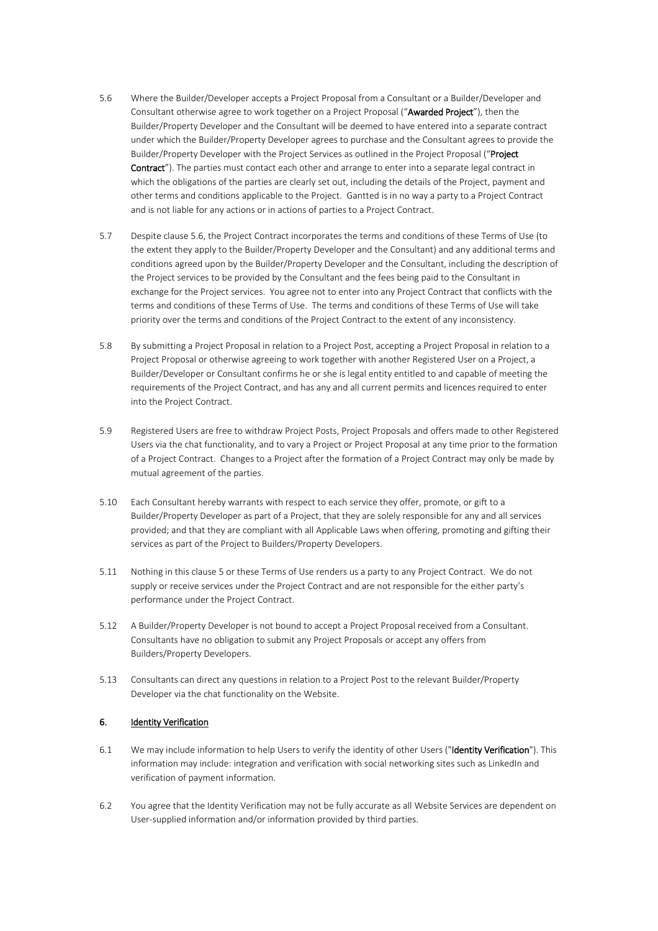- <span id="page-5-0"></span>5.6 Where the Builder/Developer accepts a Project Proposal from a Consultant or a Builder/Developer and Consultant otherwise agree to work together on a Project Proposal ("Awarded Project"), then the Builder/Property Developer and the Consultant will be deemed to have entered into a separate contract under which the Builder/Property Developer agrees to purchase and the Consultant agrees to provide the Builder/Property Developer with the Project Services as outlined in the Project Proposal ("Project Contract"). The parties must contact each other and arrange to enter into a separate legal contract in which the obligations of the parties are clearly set out, including the details of the Project, payment and other terms and conditions applicable to the Project. Gantted is in no way a party to a Project Contract and is not liable for any actions or in actions of parties to a Project Contract.
- 5.7 Despite clause [5.6,](#page-5-0) the Project Contract incorporates the terms and conditions of these Terms of Use (to the extent they apply to the Builder/Property Developer and the Consultant) and any additional terms and conditions agreed upon by the Builder/Property Developer and the Consultant, including the description of the Project services to be provided by the Consultant and the fees being paid to the Consultant in exchange for the Project services. You agree not to enter into any Project Contract that conflicts with the terms and conditions of these Terms of Use. The terms and conditions of these Terms of Use will take priority over the terms and conditions of the Project Contract to the extent of any inconsistency.
- 5.8 By submitting a Project Proposal in relation to a Project Post, accepting a Project Proposal in relation to a Project Proposal or otherwise agreeing to work together with another Registered User on a Project, a Builder/Developer or Consultant confirms he or she is legal entity entitled to and capable of meeting the requirements of the Project Contract, and has any and all current permits and licences required to enter into the Project Contract.
- 5.9 Registered Users are free to withdraw Project Posts, Project Proposals and offers made to other Registered Users via the chat functionality, and to vary a Project or Project Proposal at any time prior to the formation of a Project Contract. Changes to a Project after the formation of a Project Contract may only be made by mutual agreement of the parties.
- 5.10 Each Consultant hereby warrants with respect to each service they offer, promote, or gift to a Builder/Property Developer as part of a Project, that they are solely responsible for any and all services provided; and that they are compliant with all Applicable Laws when offering, promoting and gifting their services as part of the Project to Builders/Property Developers.
- 5.11 Nothing in this clause 5 or these Terms of Use renders us a party to any Project Contract. We do not supply or receive services under the Project Contract and are not responsible for the either party's performance under the Project Contract.
- 5.12 A Builder/Property Developer is not bound to accept a Project Proposal received from a Consultant. Consultants have no obligation to submit any Project Proposals or accept any offers from Builders/Property Developers.
- 5.13 Consultants can direct any questions in relation to a Project Post to the relevant Builder/Property Developer via the chat functionality on the Website.

## 6. Identity Verification

- 6.1 We may include information to help Users to verify the identity of other Users ("Identity Verification"). This information may include: integration and verification with social networking sites such as LinkedIn and verification of payment information.
- 6.2 You agree that the Identity Verification may not be fully accurate as all Website Services are dependent on User-supplied information and/or information provided by third parties.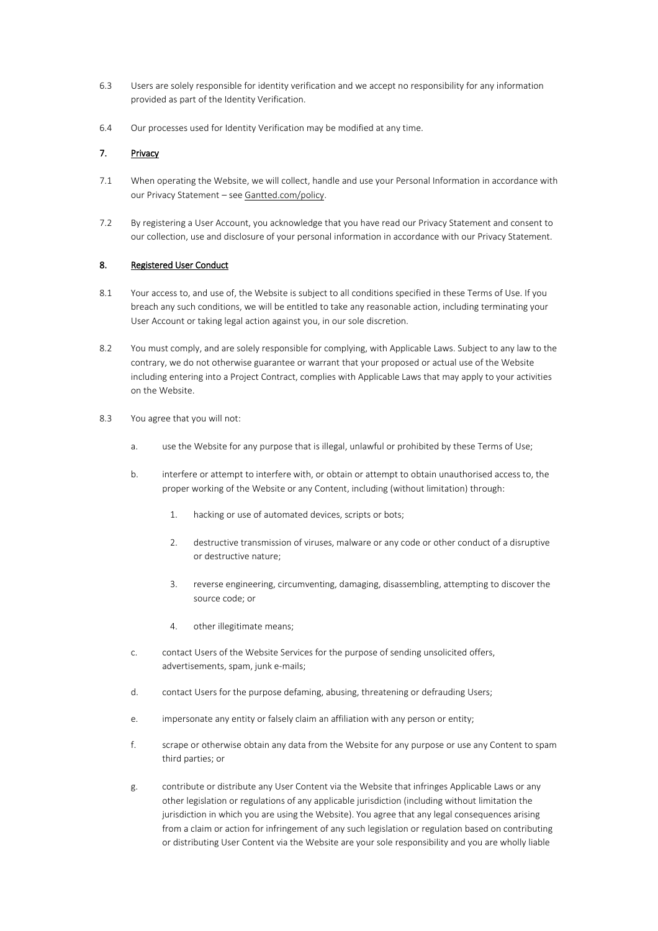- 6.3 Users are solely responsible for identity verification and we accept no responsibility for any information provided as part of the Identity Verification.
- 6.4 Our processes used for Identity Verification may be modified at any time.

## 7. Privacy

- 7.1 When operating the Website, we will collect, handle and use your Personal Information in accordance with our Privacy Statement – see [Gantted.com/policy.](https://www.gantted.com/policy)
- 7.2 By registering a User Account, you acknowledge that you have read our Privacy Statement and consent to our collection, use and disclosure of your personal information in accordance with our Privacy Statement.

#### 8. Registered User Conduct

- 8.1 Your access to, and use of, the Website is subject to all conditions specified in these Terms of Use. If you breach any such conditions, we will be entitled to take any reasonable action, including terminating your User Account or taking legal action against you, in our sole discretion.
- 8.2 You must comply, and are solely responsible for complying, with Applicable Laws. Subject to any law to the contrary, we do not otherwise guarantee or warrant that your proposed or actual use of the Website including entering into a Project Contract, complies with Applicable Laws that may apply to your activities on the Website.
- 8.3 You agree that you will not:
	- a. use the Website for any purpose that is illegal, unlawful or prohibited by these Terms of Use;
	- b. interfere or attempt to interfere with, or obtain or attempt to obtain unauthorised access to, the proper working of the Website or any Content, including (without limitation) through:
		- 1. hacking or use of automated devices, scripts or bots;
		- 2. destructive transmission of viruses, malware or any code or other conduct of a disruptive or destructive nature;
		- 3. reverse engineering, circumventing, damaging, disassembling, attempting to discover the source code; or
		- 4. other illegitimate means;
	- c. contact Users of the Website Services for the purpose of sending unsolicited offers, advertisements, spam, junk e-mails;
	- d. contact Users for the purpose defaming, abusing, threatening or defrauding Users;
	- e. impersonate any entity or falsely claim an affiliation with any person or entity;
	- f. scrape or otherwise obtain any data from the Website for any purpose or use any Content to spam third parties; or
	- g. contribute or distribute any User Content via the Website that infringes Applicable Laws or any other legislation or regulations of any applicable jurisdiction (including without limitation the jurisdiction in which you are using the Website). You agree that any legal consequences arising from a claim or action for infringement of any such legislation or regulation based on contributing or distributing User Content via the Website are your sole responsibility and you are wholly liable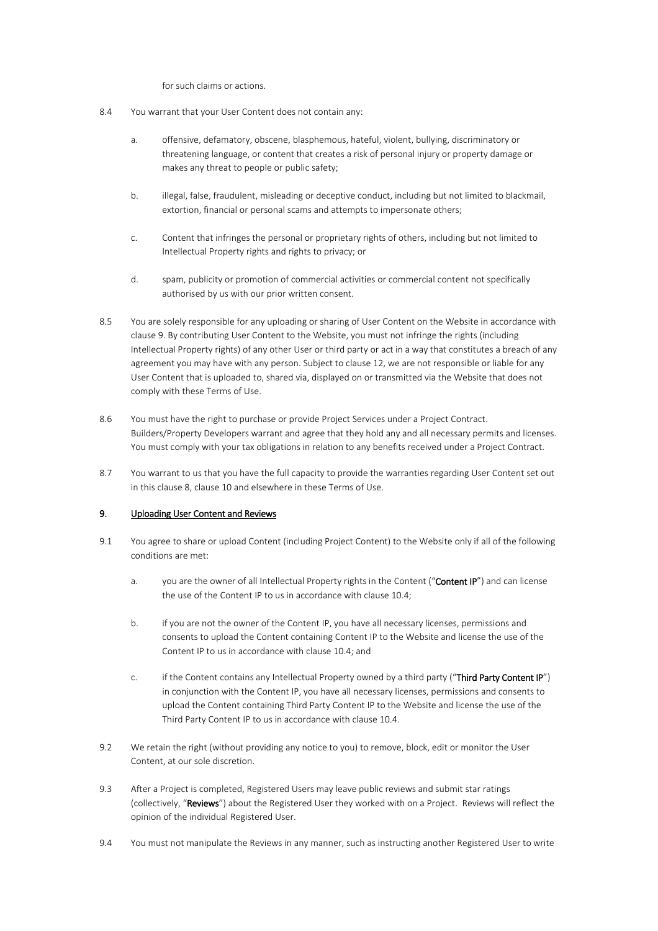for such claims or actions.

- 8.4 You warrant that your User Content does not contain any:
	- a. offensive, defamatory, obscene, blasphemous, hateful, violent, bullying, discriminatory or threatening language, or content that creates a risk of personal injury or property damage or makes any threat to people or public safety;
	- b. illegal, false, fraudulent, misleading or deceptive conduct, including but not limited to blackmail, extortion, financial or personal scams and attempts to impersonate others;
	- c. Content that infringes the personal or proprietary rights of others, including but not limited to Intellectual Property rights and rights to privacy; or
	- d. spam, publicity or promotion of commercial activities or commercial content not specifically authorised by us with our prior written consent.
- 8.5 You are solely responsible for any uploading or sharing of User Content on the Website in accordance with clause [9.](#page-7-0) By contributing User Content to the Website, you must not infringe the rights (including Intellectual Property rights) of any other User or third party or act in a way that constitutes a breach of any agreement you may have with any person. Subject to clause 12, we are not responsible or liable for any User Content that is uploaded to, shared via, displayed on or transmitted via the Website that does not comply with these Terms of Use.
- 8.6 You must have the right to purchase or provide Project Services under a Project Contract. Builders/Property Developers warrant and agree that they hold any and all necessary permits and licenses. You must comply with your tax obligations in relation to any benefits received under a Project Contract.
- 8.7 You warrant to us that you have the full capacity to provide the warranties regarding User Content set out in this clause 8, clause [10](#page-8-1) and elsewhere in these Terms of Use.

## <span id="page-7-0"></span>9. Uploading User Content and Reviews

- 9.1 You agree to share or upload Content (including Project Content) to the Website only if all of the following conditions are met:
	- a. you are the owner of all Intellectual Property rights in the Content ("Content IP") and can license the use of the Content IP to us in accordance with clause [10.4;](#page-8-2)
	- b. if you are not the owner of the Content IP, you have all necessary licenses, permissions and consents to upload the Content containing Content IP to the Website and license the use of the Content IP to us in accordance with clause [10.4;](#page-8-2) and
	- c. if the Content contains any Intellectual Property owned by a third party ("Third Party Content IP") in conjunction with the Content IP, you have all necessary licenses, permissions and consents to upload the Content containing Third Party Content IP to the Website and license the use of the Third Party Content IP to us in accordance with clause [10.4.](#page-8-2)
- 9.2 We retain the right (without providing any notice to you) to remove, block, edit or monitor the User Content, at our sole discretion.
- 9.3 After a Project is completed, Registered Users may leave public reviews and submit star ratings (collectively, "Reviews") about the Registered User they worked with on a Project. Reviews will reflect the opinion of the individual Registered User.
- 9.4 You must not manipulate the Reviews in any manner, such as instructing another Registered User to write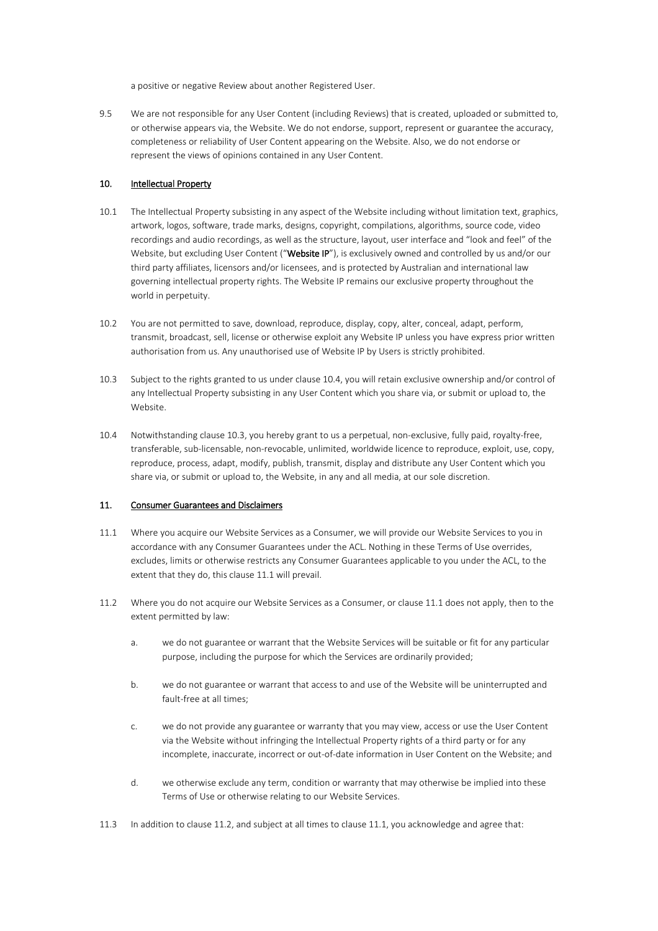a positive or negative Review about another Registered User.

9.5 We are not responsible for any User Content (including Reviews) that is created, uploaded or submitted to, or otherwise appears via, the Website. We do not endorse, support, represent or guarantee the accuracy, completeness or reliability of User Content appearing on the Website. Also, we do not endorse or represent the views of opinions contained in any User Content.

### <span id="page-8-1"></span>10. Intellectual Property

- 10.1 The Intellectual Property subsisting in any aspect of the Website including without limitation text, graphics, artwork, logos, software, trade marks, designs, copyright, compilations, algorithms, source code, video recordings and audio recordings, as well as the structure, layout, user interface and "look and feel" of the Website, but excluding User Content ("Website IP"), is exclusively owned and controlled by us and/or our third party affiliates, licensors and/or licensees, and is protected by Australian and international law governing intellectual property rights. The Website IP remains our exclusive property throughout the world in perpetuity.
- 10.2 You are not permitted to save, download, reproduce, display, copy, alter, conceal, adapt, perform, transmit, broadcast, sell, license or otherwise exploit any Website IP unless you have express prior written authorisation from us. Any unauthorised use of Website IP by Users is strictly prohibited.
- <span id="page-8-3"></span>10.3 Subject to the rights granted to us under clause 10.4, you will retain exclusive ownership and/or control of any Intellectual Property subsisting in any User Content which you share via, or submit or upload to, the Website.
- <span id="page-8-2"></span>10.4 Notwithstanding clause [10.3,](#page-8-3) you hereby grant to us a perpetual, non-exclusive, fully paid, royalty-free, transferable, sub-licensable, non-revocable, unlimited, worldwide licence to reproduce, exploit, use, copy, reproduce, process, adapt, modify, publish, transmit, display and distribute any User Content which you share via, or submit or upload to, the Website, in any and all media, at our sole discretion.

#### <span id="page-8-0"></span>11. Consumer Guarantees and Disclaimers

- <span id="page-8-4"></span>11.1 Where you acquire our Website Services as a Consumer, we will provide our Website Services to you in accordance with any Consumer Guarantees under the ACL. Nothing in these Terms of Use overrides, excludes, limits or otherwise restricts any Consumer Guarantees applicable to you under the ACL, to the extent that they do, this clause 11.1 will prevail.
- 11.2 Where you do not acquire our Website Services as a Consumer, or clause 11.1 does not apply, then to the extent permitted by law:
	- a. we do not guarantee or warrant that the Website Services will be suitable or fit for any particular purpose, including the purpose for which the Services are ordinarily provided;
	- b. we do not guarantee or warrant that access to and use of the Website will be uninterrupted and fault-free at all times;
	- c. we do not provide any guarantee or warranty that you may view, access or use the User Content via the Website without infringing the Intellectual Property rights of a third party or for any incomplete, inaccurate, incorrect or out-of-date information in User Content on the Website; and
	- d. we otherwise exclude any term, condition or warranty that may otherwise be implied into these Terms of Use or otherwise relating to our Website Services.
- 11.3 In addition to clause 11.2, and subject at all times to clause 11.1, you acknowledge and agree that: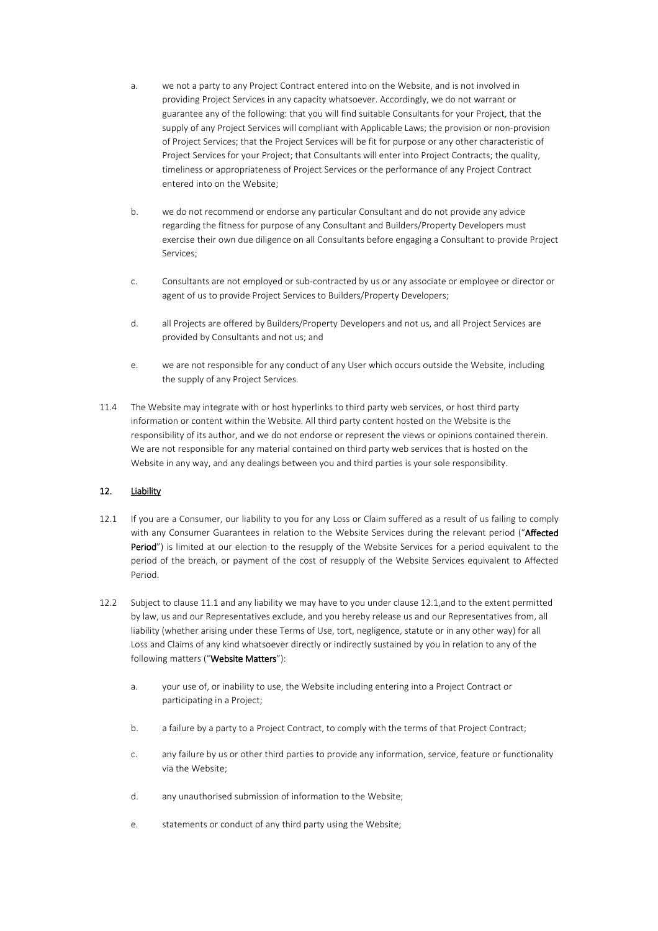- a. we not a party to any Project Contract entered into on the Website, and is not involved in providing Project Services in any capacity whatsoever. Accordingly, we do not warrant or guarantee any of the following: that you will find suitable Consultants for your Project, that the supply of any Project Services will compliant with Applicable Laws; the provision or non-provision of Project Services; that the Project Services will be fit for purpose or any other characteristic of Project Services for your Project; that Consultants will enter into Project Contracts; the quality, timeliness or appropriateness of Project Services or the performance of any Project Contract entered into on the Website;
- b. we do not recommend or endorse any particular Consultant and do not provide any advice regarding the fitness for purpose of any Consultant and Builders/Property Developers must exercise their own due diligence on all Consultants before engaging a Consultant to provide Project Services;
- c. Consultants are not employed or sub-contracted by us or any associate or employee or director or agent of us to provide Project Services to Builders/Property Developers;
- d. all Projects are offered by Builders/Property Developers and not us, and all Project Services are provided by Consultants and not us; and
- e. we are not responsible for any conduct of any User which occurs outside the Website, including the supply of any Project Services.
- 11.4 The Website may integrate with or host hyperlinks to third party web services, or host third party information or content within the Website. All third party content hosted on the Website is the responsibility of its author, and we do not endorse or represent the views or opinions contained therein. We are not responsible for any material contained on third party web services that is hosted on the Website in any way, and any dealings between you and third parties is your sole responsibility.

## <span id="page-9-0"></span>12. Liability

- 12.1 If you are a Consumer, our liability to you for any Loss or Claim suffered as a result of us failing to comply with any Consumer Guarantees in relation to the Website Services during the relevant period ("Affected Period") is limited at our election to the resupply of the Website Services for a period equivalent to the period of the breach, or payment of the cost of resupply of the Website Services equivalent to Affected Period.
- 12.2 Subject to clause [11.1](#page-8-4) and any liability we may have to you under clause 12.1,and to the extent permitted by law, us and our Representatives exclude, and you hereby release us and our Representatives from, all liability (whether arising under these Terms of Use, tort, negligence, statute or in any other way) for all Loss and Claims of any kind whatsoever directly or indirectly sustained by you in relation to any of the following matters ("Website Matters"):
	- a. your use of, or inability to use, the Website including entering into a Project Contract or participating in a Project;
	- b. a failure by a party to a Project Contract, to comply with the terms of that Project Contract;
	- c. any failure by us or other third parties to provide any information, service, feature or functionality via the Website;
	- d. any unauthorised submission of information to the Website;
	- e. statements or conduct of any third party using the Website;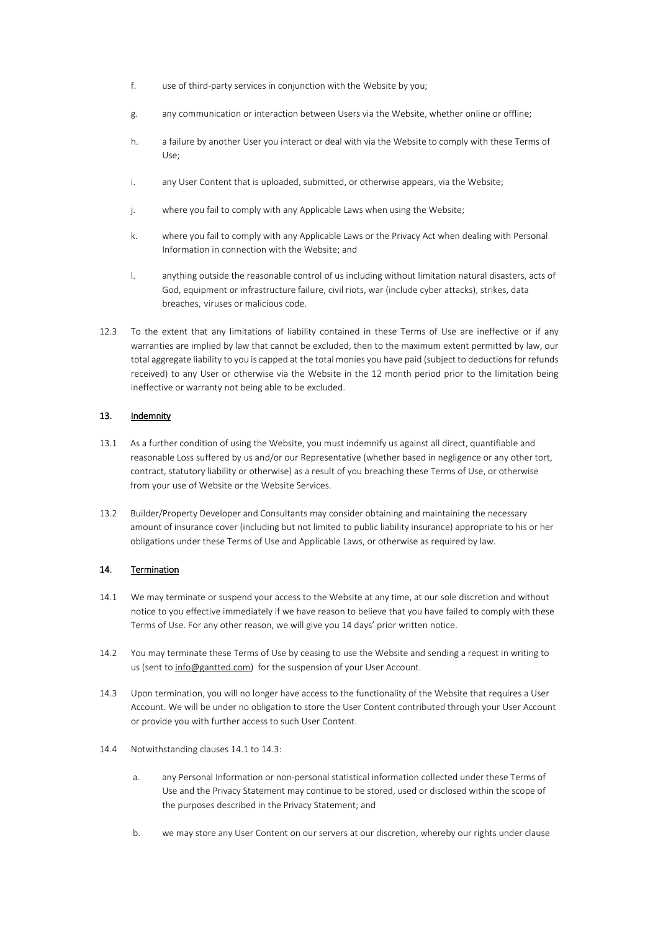- f. use of third-party services in conjunction with the Website by you;
- g. any communication or interaction between Users via the Website, whether online or offline;
- h. a failure by another User you interact or deal with via the Website to comply with these Terms of Use;
- i. any User Content that is uploaded, submitted, or otherwise appears, via the Website;
- j. where you fail to comply with any Applicable Laws when using the Website;
- k. where you fail to comply with any Applicable Laws or the Privacy Act when dealing with Personal Information in connection with the Website; and
- l. anything outside the reasonable control of us including without limitation natural disasters, acts of God, equipment or infrastructure failure, civil riots, war (include cyber attacks), strikes, data breaches, viruses or malicious code.
- 12.3 To the extent that any limitations of liability contained in these Terms of Use are ineffective or if any warranties are implied by law that cannot be excluded, then to the maximum extent permitted by law, our total aggregate liability to you is capped at the total monies you have paid (subject to deductions for refunds received) to any User or otherwise via the Website in the 12 month period prior to the limitation being ineffective or warranty not being able to be excluded.

## 13. Indemnity

- 13.1 As a further condition of using the Website, you must indemnify us against all direct, quantifiable and reasonable Loss suffered by us and/or our Representative (whether based in negligence or any other tort, contract, statutory liability or otherwise) as a result of you breaching these Terms of Use, or otherwise from your use of Website or the Website Services.
- 13.2 Builder/Property Developer and Consultants may consider obtaining and maintaining the necessary amount of insurance cover (including but not limited to public liability insurance) appropriate to his or her obligations under these Terms of Use and Applicable Laws, or otherwise as required by law.

## 14. Termination

- <span id="page-10-0"></span>14.1 We may terminate or suspend your access to the Website at any time, at our sole discretion and without notice to you effective immediately if we have reason to believe that you have failed to comply with these Terms of Use. For any other reason, we will give you 14 days' prior written notice.
- 14.2 You may terminate these Terms of Use by ceasing to use the Website and sending a request in writing to us (sent to [info@gantted.com\)](mailto:info@gantted.com) for the suspension of your User Account.
- 14.3 Upon termination, you will no longer have access to the functionality of the Website that requires a User Account. We will be under no obligation to store the User Content contributed through your User Account or provide you with further access to such User Content.
- 14.4 Notwithstanding clauses [14.1](#page-10-0) to 14.3:
	- a. any Personal Information or non-personal statistical information collected under these Terms of Use and the Privacy Statement may continue to be stored, used or disclosed within the scope of the purposes described in the Privacy Statement; and
	- b. we may store any User Content on our servers at our discretion, whereby our rights under clause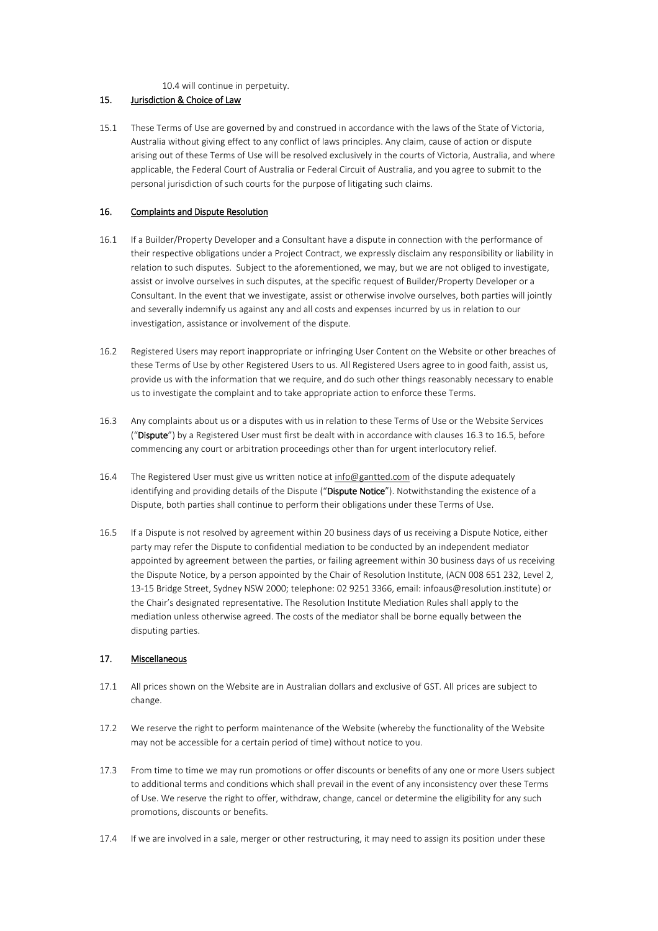[10.4](#page-8-2) will continue in perpetuity.

#### 15. Jurisdiction & Choice of Law

15.1 These Terms of Use are governed by and construed in accordance with the laws of the State of Victoria, Australia without giving effect to any conflict of laws principles. Any claim, cause of action or dispute arising out of these Terms of Use will be resolved exclusively in the courts of Victoria, Australia, and where applicable, the Federal Court of Australia or Federal Circuit of Australia, and you agree to submit to the personal jurisdiction of such courts for the purpose of litigating such claims.

#### 16. Complaints and Dispute Resolution

- 16.1 If a Builder/Property Developer and a Consultant have a dispute in connection with the performance of their respective obligations under a Project Contract, we expressly disclaim any responsibility or liability in relation to such disputes. Subject to the aforementioned, we may, but we are not obliged to investigate, assist or involve ourselves in such disputes, at the specific request of Builder/Property Developer or a Consultant. In the event that we investigate, assist or otherwise involve ourselves, both parties will jointly and severally indemnify us against any and all costs and expenses incurred by us in relation to our investigation, assistance or involvement of the dispute.
- 16.2 Registered Users may report inappropriate or infringing User Content on the Website or other breaches of these Terms of Use by other Registered Users to us. All Registered Users agree to in good faith, assist us, provide us with the information that we require, and do such other things reasonably necessary to enable us to investigate the complaint and to take appropriate action to enforce these Terms.
- <span id="page-11-0"></span>16.3 Any complaints about us or a disputes with us in relation to these Terms of Use or the Website Services ("Dispute") by a Registered User must first be dealt with in accordance with clauses [16.3](#page-11-0) to [16.5,](#page-11-1) before commencing any court or arbitration proceedings other than for urgent interlocutory relief.
- 16.4 The Registered User must give us written notice at [info@gantted.com](mailto:info@gantted.com) of the dispute adequately identifying and providing details of the Dispute ("Dispute Notice"). Notwithstanding the existence of a Dispute, both parties shall continue to perform their obligations under these Terms of Use.
- <span id="page-11-1"></span>16.5 If a Dispute is not resolved by agreement within 20 business days of us receiving a Dispute Notice, either party may refer the Dispute to confidential mediation to be conducted by an independent mediator appointed by agreement between the parties, or failing agreement within 30 business days of us receiving the Dispute Notice, by a person appointed by the Chair of Resolution Institute, (ACN 008 651 232, Level 2, 13-15 Bridge Street, Sydney NSW 2000; telephone: 02 9251 3366, email: infoaus@resolution.institute) or the Chair's designated representative. The Resolution Institute Mediation Rules shall apply to the mediation unless otherwise agreed. The costs of the mediator shall be borne equally between the disputing parties.

## 17. Miscellaneous

- 17.1 All prices shown on the Website are in Australian dollars and exclusive of GST. All prices are subject to change.
- 17.2 We reserve the right to perform maintenance of the Website (whereby the functionality of the Website may not be accessible for a certain period of time) without notice to you.
- 17.3 From time to time we may run promotions or offer discounts or benefits of any one or more Users subject to additional terms and conditions which shall prevail in the event of any inconsistency over these Terms of Use. We reserve the right to offer, withdraw, change, cancel or determine the eligibility for any such promotions, discounts or benefits.
- 17.4 If we are involved in a sale, merger or other restructuring, it may need to assign its position under these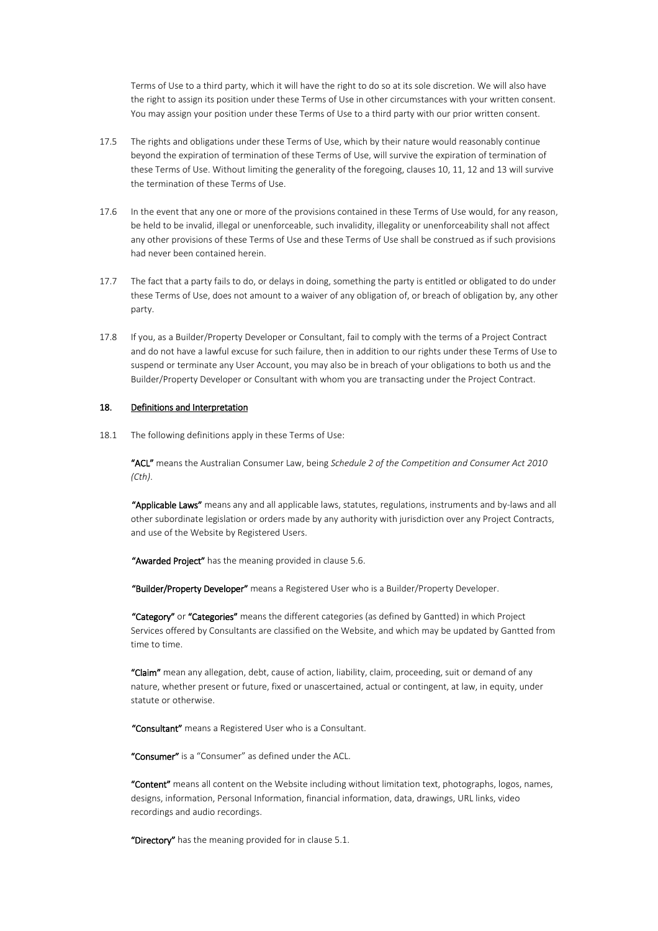Terms of Use to a third party, which it will have the right to do so at its sole discretion. We will also have the right to assign its position under these Terms of Use in other circumstances with your written consent. You may assign your position under these Terms of Use to a third party with our prior written consent.

- 17.5 The rights and obligations under these Terms of Use, which by their nature would reasonably continue beyond the expiration of termination of these Terms of Use, will survive the expiration of termination of these Terms of Use. Without limiting the generality of the foregoing, clauses 10, 11, 12 and 13 will survive the termination of these Terms of Use.
- 17.6 In the event that any one or more of the provisions contained in these Terms of Use would, for any reason, be held to be invalid, illegal or unenforceable, such invalidity, illegality or unenforceability shall not affect any other provisions of these Terms of Use and these Terms of Use shall be construed as if such provisions had never been contained herein.
- 17.7 The fact that a party fails to do, or delays in doing, something the party is entitled or obligated to do under these Terms of Use, does not amount to a waiver of any obligation of, or breach of obligation by, any other party.
- 17.8 If you, as a Builder/Property Developer or Consultant, fail to comply with the terms of a Project Contract and do not have a lawful excuse for such failure, then in addition to our rights under these Terms of Use to suspend or terminate any User Account, you may also be in breach of your obligations to both us and the Builder/Property Developer or Consultant with whom you are transacting under the Project Contract.

#### 18. Definitions and Interpretation

18.1 The following definitions apply in these Terms of Use:

"ACL" means the Australian Consumer Law, being *Schedule 2 of the Competition and Consumer Act 2010 (Cth)*.

"Applicable Laws" means any and all applicable laws, statutes, regulations, instruments and by-laws and all other subordinate legislation or orders made by any authority with jurisdiction over any Project Contracts, and use of the Website by Registered Users.

"Awarded Project" has the meaning provided in clause [5.6.](#page-5-0)

"Builder/Property Developer" means a Registered User who is a Builder/Property Developer.

"Category" or "Categories" means the different categories (as defined by Gantted) in which Project Services offered by Consultants are classified on the Website, and which may be updated by Gantted from time to time.

"Claim" mean any allegation, debt, cause of action, liability, claim, proceeding, suit or demand of any nature, whether present or future, fixed or unascertained, actual or contingent, at law, in equity, under statute or otherwise.

"Consultant" means a Registered User who is a Consultant.

"Consumer" is a "Consumer" as defined under the ACL.

"Content" means all content on the Website including without limitation text, photographs, logos, names, designs, information, Personal Information, financial information, data, drawings, URL links, video recordings and audio recordings.

"Directory" has the meaning provided for in clause [5.1.](#page-4-1)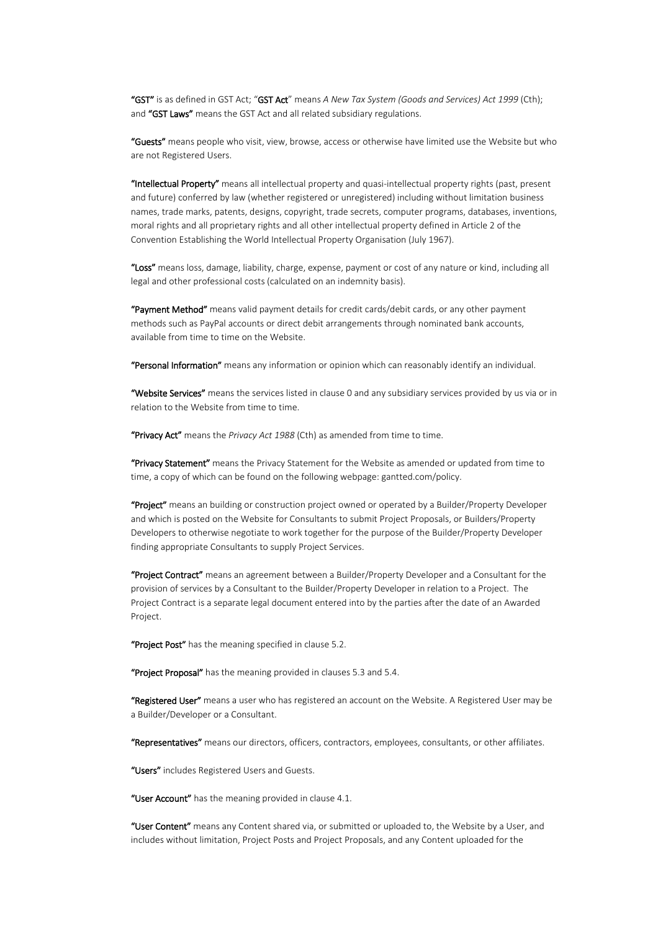"GST" is as defined in GST Act; "GST Act" means *A New Tax System (Goods and Services) Act 1999* (Cth); and "GST Laws" means the GST Act and all related subsidiary regulations.

"Guests" means people who visit, view, browse, access or otherwise have limited use the Website but who are not Registered Users.

"Intellectual Property" means all intellectual property and quasi-intellectual property rights (past, present and future) conferred by law (whether registered or unregistered) including without limitation business names, trade marks, patents, designs, copyright, trade secrets, computer programs, databases, inventions, moral rights and all proprietary rights and all other intellectual property defined in Article 2 of the Convention Establishing the World Intellectual Property Organisation (July 1967).

"Loss" means loss, damage, liability, charge, expense, payment or cost of any nature or kind, including all legal and other professional costs (calculated on an indemnity basis).

"Payment Method" means valid payment details for credit cards/debit cards, or any other payment methods such as PayPal accounts or direct debit arrangements through nominated bank accounts, available from time to time on the Website.

"Personal Information" means any information or opinion which can reasonably identify an individual.

"Website Services" means the services listed in clause [0](#page-2-1) and any subsidiary services provided by us via or in relation to the Website from time to time.

"Privacy Act" means the *Privacy Act 1988* (Cth) as amended from time to time.

"Privacy Statement" means the Privacy Statement for the Website as amended or updated from time to time, a copy of which can be found on the following webpage: gantted.com/policy.

"Project" means an building or construction project owned or operated by a Builder/Property Developer and which is posted on the Website for Consultants to submit Project Proposals, or Builders/Property Developers to otherwise negotiate to work together for the purpose of the Builder/Property Developer finding appropriate Consultants to supply Project Services.

"Project Contract" means an agreement between a Builder/Property Developer and a Consultant for the provision of services by a Consultant to the Builder/Property Developer in relation to a Project. The Project Contract is a separate legal document entered into by the parties after the date of an Awarded Project.

"Project Post" has the meaning specified in clause [5.2.](#page-4-2)

"Project Proposal" has the meaning provided in clauses [5.3](#page-4-3) and [5.4.](#page-4-4)

"Registered User" means a user who has registered an account on the Website. A Registered User may be a Builder/Developer or a Consultant.

"Representatives" means our directors, officers, contractors, employees, consultants, or other affiliates.

"Users" includes Registered Users and Guests.

"User Account" has the meaning provided in clause [4.1.](#page-3-2)

"User Content" means any Content shared via, or submitted or uploaded to, the Website by a User, and includes without limitation, Project Posts and Project Proposals, and any Content uploaded for the